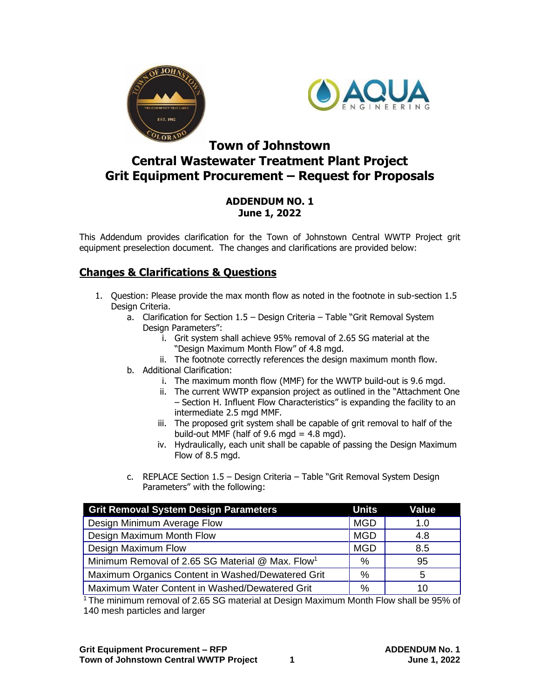



## **Town of Johnstown Central Wastewater Treatment Plant Project Grit Equipment Procurement – Request for Proposals**

## **ADDENDUM NO. 1 June 1, 2022**

This Addendum provides clarification for the Town of Johnstown Central WWTP Project grit equipment preselection document. The changes and clarifications are provided below:

## **Changes & Clarifications & Questions**

- 1. Question: Please provide the max month flow as noted in the footnote in sub-section 1.5 Design Criteria.
	- a. Clarification for Section 1.5 Design Criteria Table "Grit Removal System Design Parameters":
		- i. Grit system shall achieve 95% removal of 2.65 SG material at the "Design Maximum Month Flow" of 4.8 mgd.
		- ii. The footnote correctly references the design maximum month flow.
	- b. Additional Clarification:
		- i. The maximum month flow (MMF) for the WWTP build-out is 9.6 mgd.
		- ii. The current WWTP expansion project as outlined in the "Attachment One – Section H. Influent Flow Characteristics" is expanding the facility to an intermediate 2.5 mgd MMF.
		- iii. The proposed grit system shall be capable of grit removal to half of the build-out MMF (half of 9.6 mgd =  $4.8$  mgd).
		- iv. Hydraulically, each unit shall be capable of passing the Design Maximum Flow of 8.5 mgd.
	- c. REPLACE Section 1.5 Design Criteria Table "Grit Removal System Design Parameters" with the following:

| <b>Grit Removal System Design Parameters</b>                 | <b>Units</b> | Value |
|--------------------------------------------------------------|--------------|-------|
| Design Minimum Average Flow                                  | <b>MGD</b>   | 1.0   |
| Design Maximum Month Flow                                    | <b>MGD</b>   | 4.8   |
| Design Maximum Flow                                          | <b>MGD</b>   | 8.5   |
| Minimum Removal of 2.65 SG Material @ Max. Flow <sup>1</sup> | $\%$         | 95    |
| Maximum Organics Content in Washed/Dewatered Grit            | %            | 5     |
| Maximum Water Content in Washed/Dewatered Grit               | $\%$         | 10    |

<sup>1</sup>The minimum removal of 2.65 SG material at Design Maximum Month Flow shall be 95% of 140 mesh particles and larger